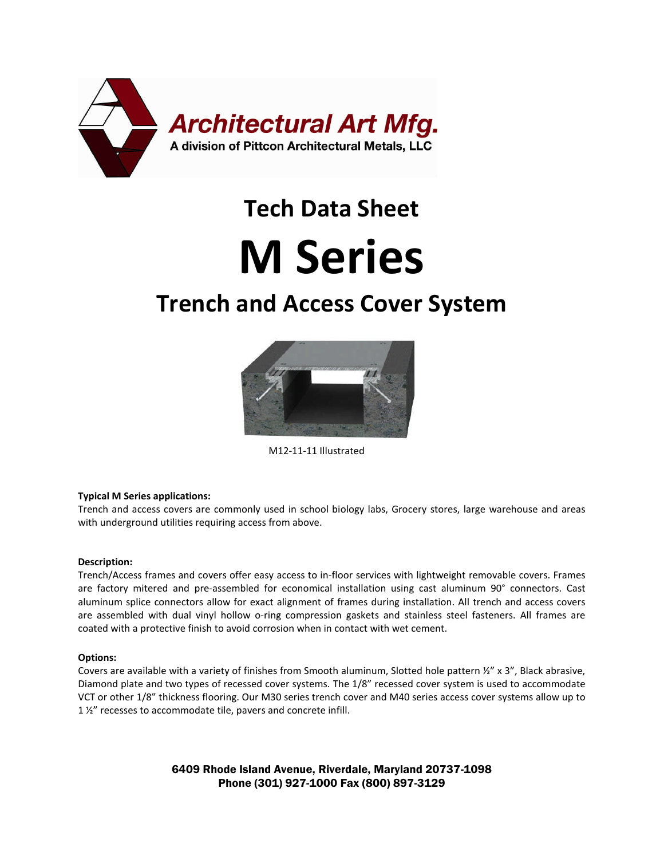

# **Tech Data Sheet**

## **M Series**

### **Trench and Access Cover System**



M12-11-11 Illustrated

#### **Typical M Series applications:**

Trench and access covers are commonly used in school biology labs, Grocery stores, large warehouse and areas with underground utilities requiring access from above.

#### **Description:**

Trench/Access frames and covers offer easy access to in-floor services with lightweight removable covers. Frames are factory mitered and pre-assembled for economical installation using cast aluminum 90° connectors. Cast aluminum splice connectors allow for exact alignment of frames during installation. All trench and access covers are assembled with dual vinyl hollow o-ring compression gaskets and stainless steel fasteners. All frames are coated with a protective finish to avoid corrosion when in contact with wet cement.

#### **Options:**

Covers are available with a variety of finishes from Smooth aluminum, Slotted hole pattern ½" x 3", Black abrasive, Diamond plate and two types of recessed cover systems. The 1/8" recessed cover system is used to accommodate VCT or other 1/8" thickness flooring. Our M30 series trench cover and M40 series access cover systems allow up to 1 1/2" recesses to accommodate tile, pavers and concrete infill.

> 6409 Rhode Island Avenue, Riverdale, Maryland 20737-1098 Phone (301) 927-1000 Fax (800) 897-3129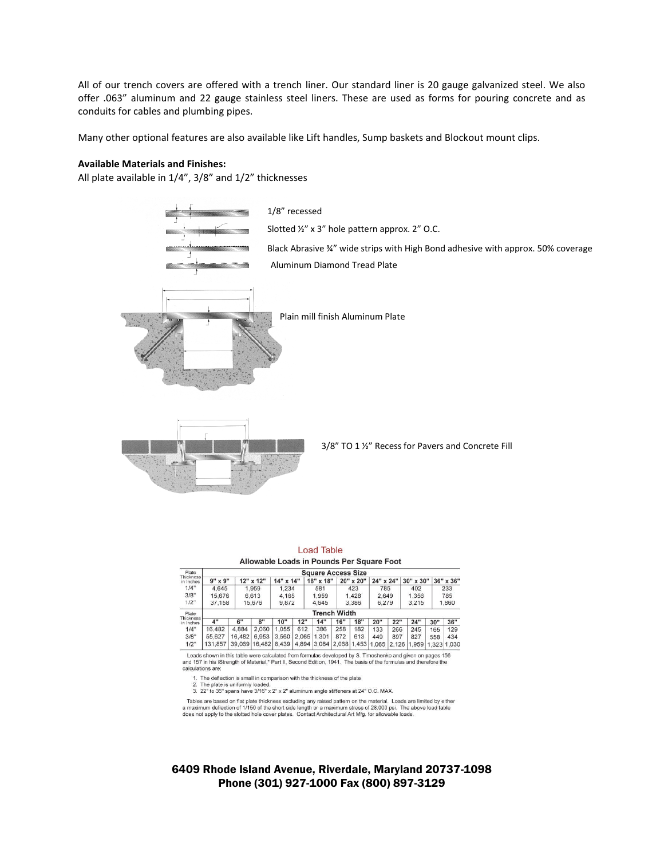All of our trench covers are offered with a trench liner. Our standard liner is 20 gauge galvanized steel. We also offer .063" aluminum and 22 gauge stainless steel liners. These are used as forms for pouring concrete and as conduits for cables and plumbing pipes.

Many other optional features are also available like Lift handles, Sump baskets and Blockout mount clips.

#### **Available Materials and Finishes:**

All plate available in 1/4", 3/8" and 1/2" thicknesses



|                                 |                           |        | Allowable Loads in Pounds Per Square Foot |           |       | Load Table  |     |             |       |           |           |     |             |  |
|---------------------------------|---------------------------|--------|-------------------------------------------|-----------|-------|-------------|-----|-------------|-------|-----------|-----------|-----|-------------|--|
| Plate                           | <b>Square Access Size</b> |        |                                           |           |       |             |     |             |       |           |           |     |             |  |
| <b>Thickness</b><br>in Inches   | $9" \times 9"$            |        | 12" x 12"                                 | 14" x 14" |       | 18" x 18"   |     | 20" x 20"   |       | 24" x 24" | 30" x 30" |     | 36" x 36"   |  |
| 1/4"                            | 4.645                     |        | 1.959                                     |           | 1.234 | 581         |     | 423         |       | 785       |           |     | 233         |  |
| 3/8"                            | 15.676                    |        | 6.613                                     |           | 4.165 | 1.959       |     | 1.428       |       | 2.649     |           |     | 785         |  |
| 1/2"                            | 37.158                    | 15,676 |                                           | 9,872     |       | 4.645       |     | 3.386       |       | 6,279     |           |     | 1,860       |  |
| Plate<br>Thickness<br>in Inches | <b>Trench Width</b>       |        |                                           |           |       |             |     |             |       |           |           |     |             |  |
|                                 | <b>A"</b>                 | 6"     | 8"                                        | 10"       | 12"   | 14"         | 16" | 18"         | 20"   | 22"       | 24"       | 30" | 36"         |  |
| 1/4"                            | 16.482                    | 4.884  | 2.060                                     | 1.055     | 612   | 386         | 258 | 182         | 133   | 266       | 245       | 165 | 129         |  |
| 3/8"                            | 55.627                    | 16.482 | 6.953                                     | 3.560     | 2.065 | 1.301       | 872 | 613         | 449   | 897       | 827       | 558 | 434         |  |
| 1/2"                            | 131,857                   | 39.069 | 16.482                                    | 8.439     |       | 4,894 3,084 |     | 2.068 1.453 | 1.065 | 2.126     | 1.959     |     | 1.323 1.030 |  |

Loads shown in this table were calculated from formulas developed by S. Timoshenko and given on pages 156<br>and 157 in his iStrength of Material,\* Part II, Second Edition, 1941. The basis of the formulas and therefore the calculations are

1. The deflection is small in comparison with the thickness of the plate<br>2. The plate is uniformly loaded.<br>3. 22" to 36" spans have 3/16" x 2" x 2" aluminum angle stiffeners at 24" O.C. MAX.

Tables are based on flat plate thickness excluding any raised pattern on the material. Loads are limited by either a maximum deflection of 1/150 of the short side length or a maximum stress of 28,000 psi. The above load ta

#### 6409 Rhode Island Avenue, Riverdale, Maryland 20737-1098 Phone (301) 927-1000 Fax (800) 897-3129